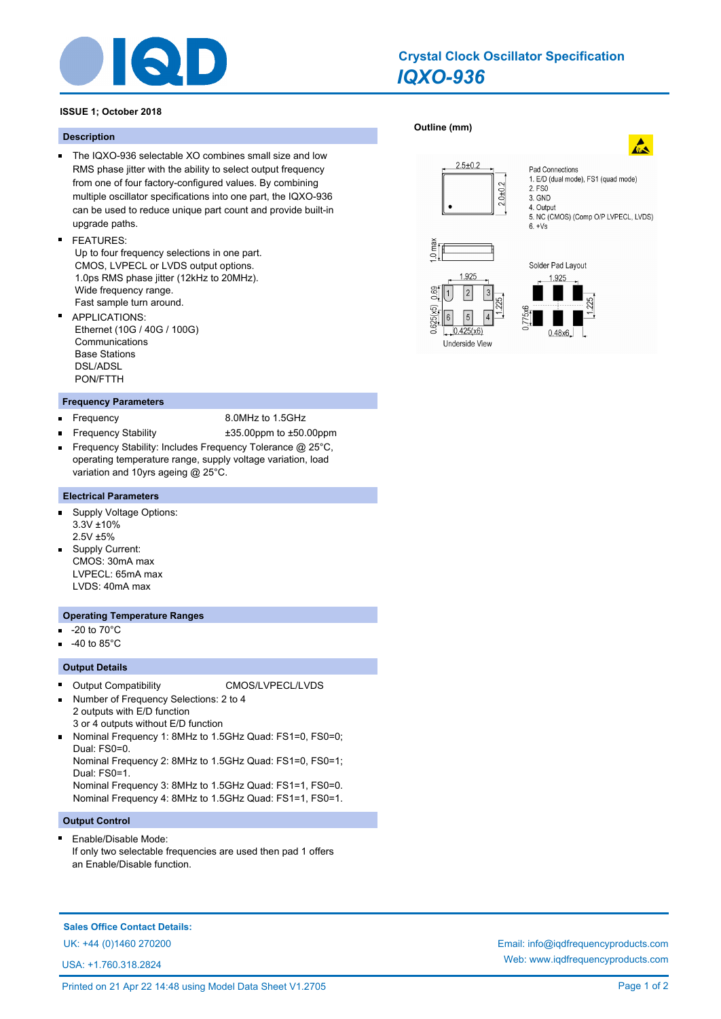

## *IQXO-936* **Crystal Clock Oscillator Specification**

## **ISSUE 1; October 2018**

## **Description**

- The IQXO-936 selectable XO combines small size and low RMS phase jitter with the ability to select output frequency from one of four factory-configured values. By combining multiple oscillator specifications into one part, the IQXO-936 can be used to reduce unique part count and provide built-in upgrade paths.
- FEATURES:

 Up to four frequency selections in one part. CMOS, LVPECL or LVDS output options. 1.0ps RMS phase jitter (12kHz to 20MHz). Wide frequency range. Fast sample turn around.

APPLICATIONS: Ethernet (10G / 40G / 100G) **Communications**  Base Stations DSL/ADSL PON/FTTH

### **Frequency Parameters**

- 
- Frequency 8.0MHz to 1.5GHz
- Frequency Stability ±35.00ppm to ±50.00ppm Frequency Stability: Includes Frequency Tolerance @ 25°C, operating temperature range, supply voltage variation, load variation and 10yrs ageing @ 25°C.

## **Electrical Parameters**

- Supply Voltage Options:  $\blacksquare$ 3.3V ±10% 2.5V ±5%
- **Supply Current:** CMOS: 30mA max LVPECL: 65mA max LVDS: 40mA max

### **Operating Temperature Ranges**

- -20 to 70°C m.
- -40 to 85°C

## **Output Details**

- $\blacksquare$ Output Compatibility CMOS/LVPECL/LVDS Number of Frequency Selections: 2 to 4
- 2 outputs with E/D function 3 or 4 outputs without E/D function
- Nominal Frequency 1: 8MHz to 1.5GHz Quad: FS1=0, FS0=0; Dual: FS0=0.

Nominal Frequency 2: 8MHz to 1.5GHz Quad: FS1=0, FS0=1; Dual: FS0=1.

Nominal Frequency 3: 8MHz to 1.5GHz Quad: FS1=1, FS0=0. Nominal Frequency 4: 8MHz to 1.5GHz Quad: FS1=1, FS0=1.

## **Output Control**

 $\blacksquare$ Enable/Disable Mode: If only two selectable frequencies are used then pad 1 offers an Enable/Disable function.

## **Sales Office Contact Details:**

USA: +1.760.318.2824

# **[Outline \(mm\)](http://www.iqdfrequencyproducts.com/products/search/?type=crystal-clock-oscillator&model=IQXO-936)**





Pad Connections

2. FS0 3. GND 4. Output

1. E/D (dual mode), FS1 (quad mode)

5. NC (CMOS) (Comp O/P LVPECL, LVDS)

UK: +44 (0)1460 270200 Email: info@iqdfrequencyproducts.com Web: www.iqdfrequencyproducts.com